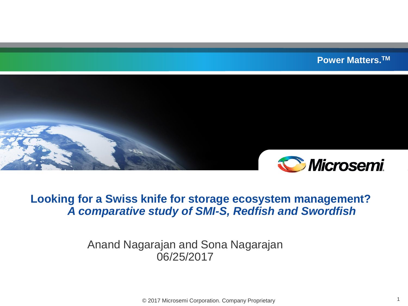**Power Matters.TM**



#### **Looking for a Swiss knife for storage ecosystem management?** *A comparative study of SMI-S, Redfish and Swordfish*

#### Anand Nagarajan and Sona Nagarajan 06/25/2017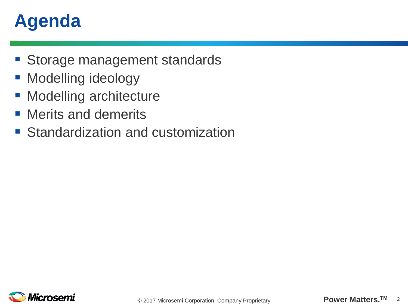# **Agenda**

- **Storage management standards**
- **Modelling ideology**
- **Modelling architecture**
- **Nerits and demerits**
- **Standardization and customization**

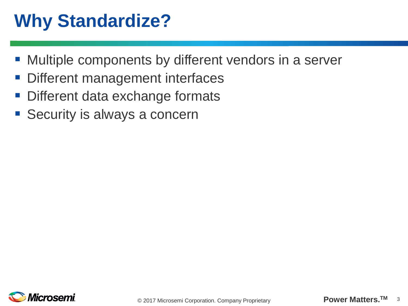# **Why Standardize?**

- Multiple components by different vendors in a server
- Different management interfaces
- **Different data exchange formats**
- Security is always a concern

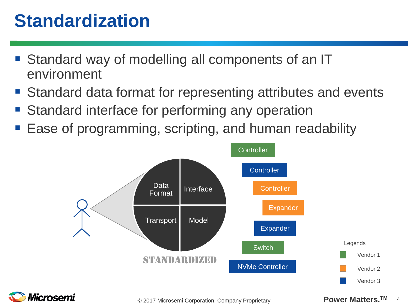#### **Standardization**

- Standard way of modelling all components of an IT environment
- Standard data format for representing attributes and events
- Standard interface for performing any operation
- Ease of programming, scripting, and human readability



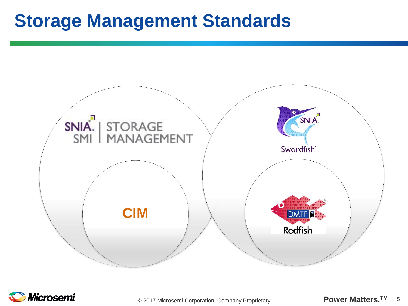#### **Storage Management Standards**





**Power Matters.** © 2017 Microsemi Corporation. Company Proprietary **TM** <sup>5</sup>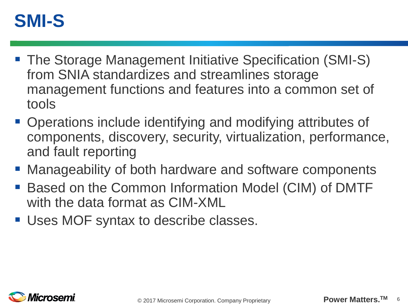#### **SMI-S**

- The Storage Management Initiative Specification (SMI-S) from SNIA standardizes and streamlines storage management functions and features into a common set of tools
- Operations include identifying and modifying attributes of components, discovery, security, virtualization, performance, and fault reporting
- Manageability of both hardware and software components
- Based on the Common Information Model (CIM) of DMTF with the data format as CIM-XML
- **Uses MOF syntax to describe classes.**

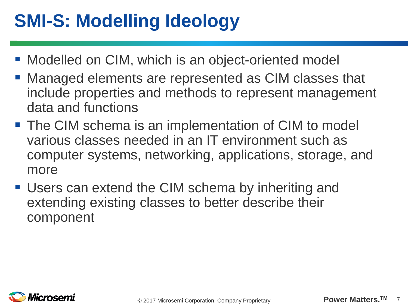# **SMI-S: Modelling Ideology**

- **Modelled on CIM, which is an object-oriented model**
- Managed elements are represented as CIM classes that include properties and methods to represent management data and functions
- **The CIM schema is an implementation of CIM to model** various classes needed in an IT environment such as computer systems, networking, applications, storage, and more
- Users can extend the CIM schema by inheriting and extending existing classes to better describe their component

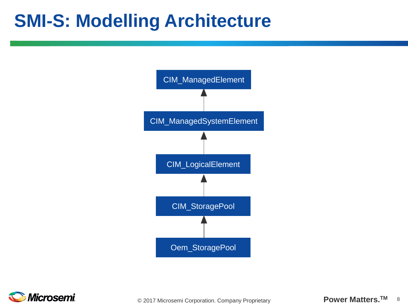#### **SMI-S: Modelling Architecture**



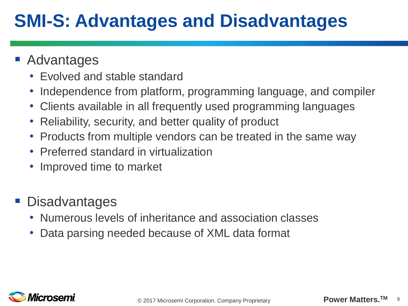# **SMI-S: Advantages and Disadvantages**

- **Advantages** 
	- Evolved and stable standard
	- Independence from platform, programming language, and compiler
	- Clients available in all frequently used programming languages
	- Reliability, security, and better quality of product
	- Products from multiple vendors can be treated in the same way
	- Preferred standard in virtualization
	- Improved time to market
- **Disadvantages** 
	- Numerous levels of inheritance and association classes
	- Data parsing needed because of XML data format

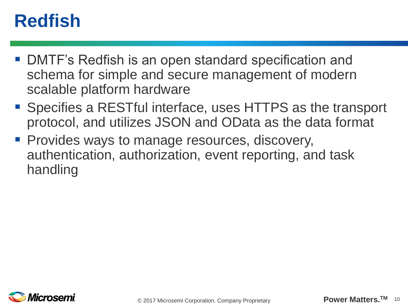## **Redfish**

- DMTF's Redfish is an open standard specification and schema for simple and secure management of modern scalable platform hardware
- Specifies a RESTful interface, uses HTTPS as the transport protocol, and utilizes JSON and OData as the data format
- **Provides ways to manage resources, discovery,** authentication, authorization, event reporting, and task handling

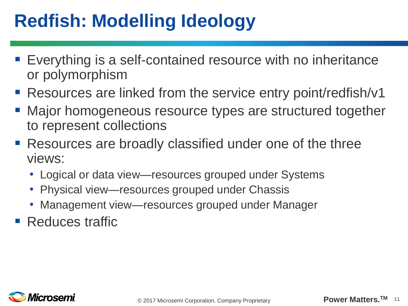# **Redfish: Modelling Ideology**

- Everything is a self-contained resource with no inheritance or polymorphism
- Resources are linked from the service entry point/redfish/v1
- **Major homogeneous resource types are structured together** to represent collections
- Resources are broadly classified under one of the three views:
	- Logical or data view—resources grouped under Systems
	- Physical view—resources grouped under Chassis
	- Management view—resources grouped under Manager
- Reduces traffic

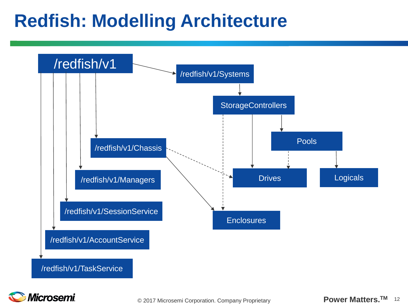#### **Redfish: Modelling Architecture**



**Microsemi** 

**Power Matters.** © 2017 Microsemi Corporation. Company Proprietary **TM** <sup>12</sup>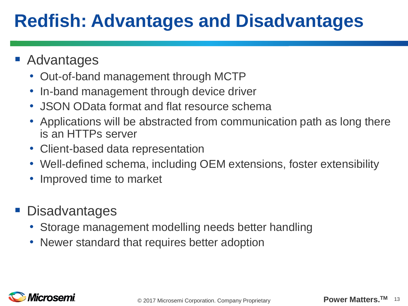# **Redfish: Advantages and Disadvantages**

- **Advantages** 
	- Out-of-band management through MCTP
	- In-band management through device driver
	- JSON OData format and flat resource schema
	- Applications will be abstracted from communication path as long there is an HTTPs server
	- Client-based data representation
	- Well-defined schema, including OEM extensions, foster extensibility
	- Improved time to market
- **Disadvantages** 
	- Storage management modelling needs better handling
	- Newer standard that requires better adoption

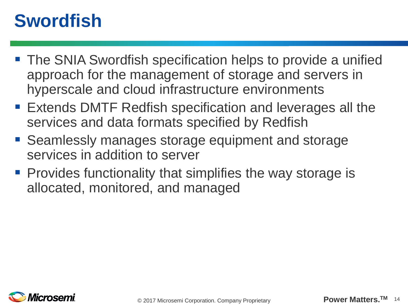#### **Swordfish**

- The SNIA Swordfish specification helps to provide a unified approach for the management of storage and servers in hyperscale and cloud infrastructure environments
- Extends DMTF Redfish specification and leverages all the services and data formats specified by Redfish
- Seamlessly manages storage equipment and storage services in addition to server
- **Provides functionality that simplifies the way storage is** allocated, monitored, and managed

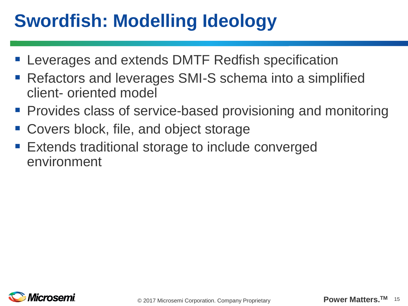# **Swordfish: Modelling Ideology**

- **E** Leverages and extends DMTF Redfish specification
- Refactors and leverages SMI-S schema into a simplified client- oriented model
- **Provides class of service-based provisioning and monitoring**
- Covers block, file, and object storage
- Extends traditional storage to include converged environment

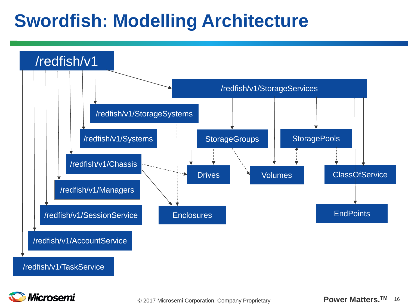#### **Swordfish: Modelling Architecture**



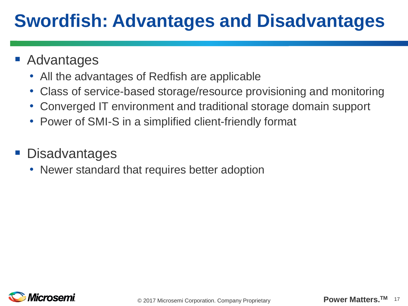# **Swordfish: Advantages and Disadvantages**

- **Advantages** 
	- All the advantages of Redfish are applicable
	- Class of service-based storage/resource provisioning and monitoring
	- Converged IT environment and traditional storage domain support
	- Power of SMI-S in a simplified client-friendly format
- **Disadvantages** 
	- Newer standard that requires better adoption

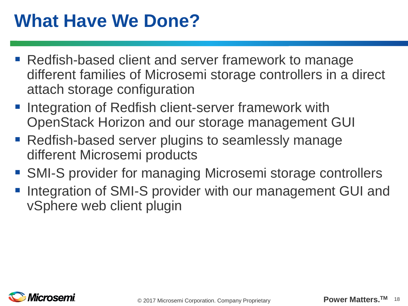# **What Have We Done?**

- Redfish-based client and server framework to manage different families of Microsemi storage controllers in a direct attach storage configuration
- **Integration of Redfish client-server framework with** OpenStack Horizon and our storage management GUI
- Redfish-based server plugins to seamlessly manage different Microsemi products
- SMI-S provider for managing Microsemi storage controllers
- **Integration of SMI-S provider with our management GUI and** vSphere web client plugin

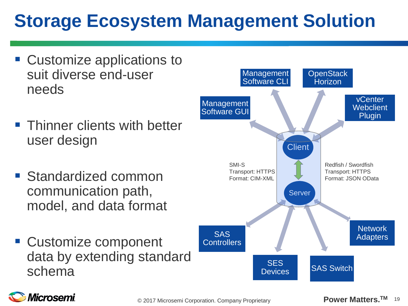# **Storage Ecosystem Management Solution**

- Customize applications to suit diverse end-user needs
- **Thinner clients with better** user design
- **Standardized common** communication path, model, and data format
- Customize component data by extending standard schema



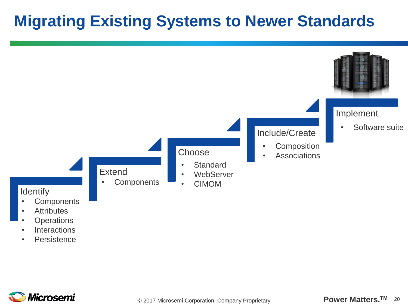#### **Migrating Existing Systems to Newer Standards**



- **Operations**
- Interactions
- Persistence

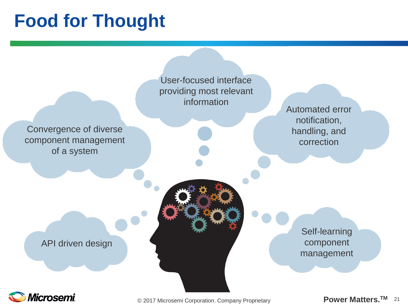#### **Food for Thought**

User-focused interface providing most relevant information

Convergence of diverse component management of a system

Automated error notification, handling, and correction

API driven design

Self-learning component management



**Power Matters.** © 2017 Microsemi Corporation. Company Proprietary **TM** <sup>21</sup>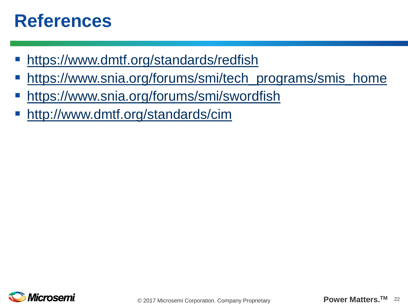#### **References**

- <https://www.dmtf.org/standards/redfish>
- [https://www.snia.org/forums/smi/tech\\_programs/smis\\_home](https://www.snia.org/forums/smi/tech_programs/smis_home)
- <https://www.snia.org/forums/smi/swordfish>
- <http://www.dmtf.org/standards/cim>

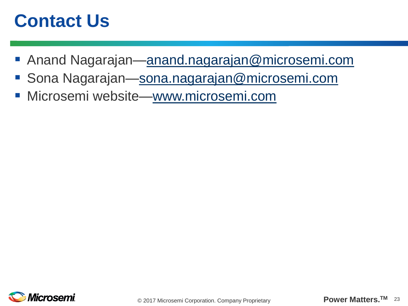#### **Contact Us**

- Anand Nagarajan—[anand.nagarajan@microsemi.com](mailto:anand.nagarajan@microsemi.com)
- Sona Nagarajan[—sona.nagarajan@microsemi.com](mailto:sona.nagarajan@microsemi.com)
- **Microsemi website[—www.microsemi.com](http://www.microsemi.com/)**